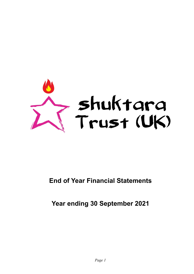

# **End of Year Financial Statements**

**Year ending 30 September 2021**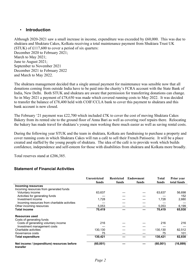#### • **Introduction**

Although 2020-2021 saw a small increase in income, expenditure was exceeded by £60,000. This was due to shuktara and Shuktara Cakes, Kolkata receiving a total maintenance payment from Shuktara Trust UK (STUK) of £117,600 to cover a period of six quarters: December 2020 to February 2021; March to May 2021; June to August 2021; September to November 2021 December 2021 to February 2022 and March to May 2022.

The shuktara management decided that a single annual payment for maintenance was sensible now that all donations coming from outside India have to be paid into the charity's FCRA account with the State Bank of India, New Delhi. Both STUK and shuktara are aware that permission for transferring donations can change. So in May 2021 a payment of £78,650 was made which covered running costs to May 2022. It was decided to transfer the balance of £78,400 held with COIF/CCLA bank to cover this payment to shuktara and this bank account is now closed.

The February '21 payment was £22,700 which included £7K to cover the cost of moving Shuktara Cakes Bakery from its rented site to the ground floor of Anna Bari as well as covering roof repairs there. Relocating the bakery has made travel for shuktara's young men working there much easier as well as saving rental costs.

During the following year STUK and the team in shuktara, Kolkata are fundraising to purchase a property and cover running costs in which Shuktara Cakes will run a café to sell their French Patisserie. It will be a place created and staffed by the young people of shuktara. The idea of the café is to provide work which builds confidence, independence and self-esteem for those with disabilities from shuktara and Kolkata more broadly.

Total reserves stand at £206,385.

#### **Statement of Financial Activities**

|                                                         | <b>Unrestricted</b><br>funds | <b>Restricted</b><br>funds | <b>Endowment</b><br>funds | Total<br>funds | <b>Prior</b> year<br>total funds |
|---------------------------------------------------------|------------------------------|----------------------------|---------------------------|----------------|----------------------------------|
| <b>Incoming resources</b>                               |                              |                            |                           |                |                                  |
| Incoming resources from generated funds                 |                              |                            |                           |                |                                  |
| Voluntary income                                        | 63,637                       |                            |                           | 63,637         | 56,698                           |
| Activities for generating funds                         |                              |                            |                           |                | 152                              |
| Investment income                                       | 1,728                        |                            |                           | 1,728          | 2,880                            |
| Incoming resources from charitable activities           |                              |                            |                           |                |                                  |
| Other incoming resources                                | 5,053                        |                            |                           | 5,053          | 6,199                            |
| <b>Total income</b>                                     | 70,419                       |                            |                           | 70,419         | 65,930                           |
| <b>Resources used</b>                                   |                              |                            |                           |                |                                  |
| Costs of generating funds                               |                              |                            |                           |                |                                  |
| Costs of generating voluntary income                    | 216                          |                            |                           | 216            | 216                              |
| Investment management costs                             |                              |                            |                           |                |                                  |
| Charitable activities                                   | 130,130                      |                            |                           | 130,130        | 82,512                           |
| Governance costs                                        | 75                           |                            |                           | 75             | 101                              |
| <b>Total expenditure</b>                                | 130,421                      |                            |                           | 130,421        | 82,830                           |
| Net income / (expenditure) resources before<br>transfer | (60, 001)                    |                            |                           | (60, 001)      | (16, 899)                        |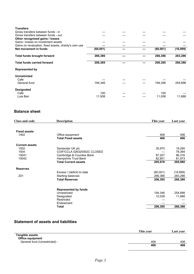| <b>Transfers</b>                                      |           |  |           |           |
|-------------------------------------------------------|-----------|--|-----------|-----------|
| Gross transfers between funds - in                    |           |  |           |           |
| Gross transfers between funds - out                   |           |  |           |           |
| Other recognised gains / losses                       |           |  |           |           |
| Gains / losses on investment assets                   |           |  |           |           |
| Gains on revaluation, fixed assets, charity's own use |           |  |           |           |
| Net movement in funds                                 | (60, 001) |  | (60, 001) | (16, 899) |
| <b>Total funds brought forward</b>                    | 266,386   |  | 266,386   | 283,286   |
| <b>Total funds carried forward</b>                    | 206,385   |  | 206,385   | 266,386   |
| <b>Represented by</b>                                 |           |  |           |           |
| Unrestricted                                          |           |  |           |           |
| Cafe                                                  |           |  |           |           |
| General fund                                          | 194,346   |  | 194,346   | 254,698   |
| <b>Designated</b>                                     |           |  |           |           |
| Cafe                                                  | 100       |  | 100       |           |
| Lula Bari                                             | 11,938    |  | 11,938    | 11,688    |

## **Balance sheet**

| <b>Class and code</b> | <b>Description</b>          | This year | Last year |
|-----------------------|-----------------------------|-----------|-----------|
|                       |                             |           |           |
| <b>Fixed assets</b>   |                             |           |           |
| 1402                  | Office equipment            | 406       | 406       |
|                       | <b>Total Fixed assets</b>   | 406       | 406       |
| <b>Current assets</b> |                             |           |           |
| 1502                  | Santander UK plc            | 35,970    | 19,295    |
| 1504                  | COIF/CCLA 026320002C CLOSED |           | 78,394    |
| 15041                 | Cambridge & Counties Bank   | 87,207    | 86,316    |
| 15042                 | Hampshire Trust Bank        | 82,801    | 81,973    |
|                       | <b>Total Current assets</b> | 205,978   | 265,980   |
| <b>Reserves</b>       |                             |           |           |
|                       | Excess / (deficit) to date  | (60,001)  | (16, 899) |
| Z01                   | Starting balances           | 266,386   | 283,286   |
|                       | <b>Total Reserves</b>       | 206,385   | 266,386   |
|                       |                             |           |           |
|                       | <b>Represented by funds</b> |           |           |
|                       | Unrestricted                | 194,346   | 254,698   |
|                       | Designated                  | 12,038    | 11,688    |
|                       | Restricted                  |           |           |
|                       | Endowment                   |           |           |
|                       | <b>Total</b>                | 206,385   | 266,386   |

## **Statement of assets and liabilities**

|                               | This year | Last vear |
|-------------------------------|-----------|-----------|
| <b>Tangible assets</b>        |           |           |
| <b>Office equipment</b>       |           |           |
| General fund (Unrestricted) - | 406       | 406       |
|                               | 406       | 406       |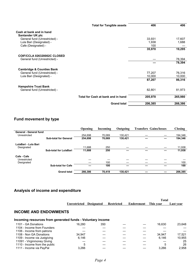|                                              | <b>Total for Tangible assets</b>   | 406     | 406     |
|----------------------------------------------|------------------------------------|---------|---------|
| Cash at bank and in hand<br>Santander UK plc |                                    |         |         |
| General fund (Unrestricted) -                |                                    | 33,931  | 17,607  |
| Lula Bari (Designated) -                     |                                    | 1,938   | 1,688   |
| Cafe (Designated) -                          |                                    | 100     |         |
|                                              |                                    | 35,970  | 19,295  |
| COIF/CCLA 026320002C CLOSED                  |                                    |         |         |
| General fund (Unrestricted) -                |                                    |         | 78,394  |
|                                              |                                    |         | 78,394  |
| <b>Cambridge &amp; Counties Bank</b>         |                                    |         |         |
| General fund (Unrestricted) -                |                                    | 77,207  | 76,316  |
| Lula Bari (Designated) -                     |                                    | 10,000  | 10,000  |
|                                              |                                    | 87,207  | 86,316  |
| <b>Hampshire Trust Bank</b>                  |                                    |         |         |
| General fund (Unrestricted) -                |                                    | 82,801  | 81,973  |
|                                              | Total for Cash at bank and in hand | 205,978 | 265,980 |
|                                              | <b>Grand total</b>                 | 206,385 | 266,386 |

# **Fund movement by type**

|                        |                               | <b>Opening</b> | Incoming | Outgoing | <b>Transfers Gains/losses</b> | <b>Closing</b> |
|------------------------|-------------------------------|----------------|----------|----------|-------------------------------|----------------|
| General - General fund |                               |                |          |          |                               |                |
| Unrestricted           |                               | 254.698        | 70.069   | 130,421  |                               | 194,346        |
|                        | <b>Sub-total for General</b>  | 254,698        | 70,069   | 130,421  |                               | 194,346        |
| LulaBari - Lula Bari   |                               |                |          |          |                               |                |
| Designated             |                               | 11.688         | 250      |          |                               | 11,938         |
|                        | <b>Sub-total for LulaBari</b> | 11,688         | 250      |          |                               | 11,938         |
| Cafe - Cafe            |                               |                |          |          |                               |                |
| Unrestricted           |                               |                |          |          |                               |                |
| Designated             |                               |                | 100      |          |                               | 100            |
|                        | <b>Sub-total for Cafe</b>     |                | 100      |          |                               | 100            |
|                        | <b>Grand total</b>            | 266.386        | 70.419   | 130.421  |                               | 206,385        |

# **Analysis of income and expenditure**

|  |                                                        | Total |           |
|--|--------------------------------------------------------|-------|-----------|
|  | Unrestricted Designated Restricted Endowment This year |       | Last vear |

#### **INCOME AND ENDOWMENTS**

#### **Incoming resources from generated funds - Voluntary income**

| 1101 - GA Donations           | 16.280 | 350 |  | 16.630 | 23,648 |
|-------------------------------|--------|-----|--|--------|--------|
| 1104 - Income from Founders   |        |     |  |        |        |
| 1106 - Income from patrons    |        |     |  |        |        |
| 1108 - Non GA Donations       | 34.947 |     |  | 34.947 | 17.521 |
| 1109 - Income via Justgiving  | 6.146  |     |  | 6.146  | 10,955 |
| 11091 - Virginmoney Giving    |        |     |  |        | 25     |
| 1110 - Income from the public |        |     |  |        | 26     |
| 1111 - Income via PayPal      | 3,266  |     |  | 3.266  | 2,958  |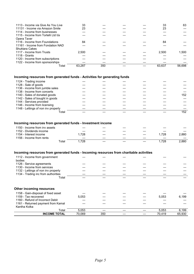| 33     |     |  | 33     | 63     |
|--------|-----|--|--------|--------|
| 23     |     |  | 23     |        |
|        |     |  |        |        |
|        |     |  |        |        |
|        |     |  |        |        |
| 84     |     |  | 84     |        |
|        |     |  |        |        |
|        |     |  |        |        |
| 2.500  |     |  | 2.500  | 1,500  |
|        |     |  |        |        |
|        |     |  |        |        |
|        |     |  |        |        |
| 63.287 | 350 |  | 63.637 | 56.698 |
|        |     |  |        |        |

#### **Incoming resources from generated funds - Activities for generating funds**

| 1124 - Trading income               |  |  |      |
|-------------------------------------|--|--|------|
| 1128 - Sale of goods                |  |  |      |
| 1136 - income from jumble sales     |  |  |      |
| 1138 - Income from concerts         |  |  |      |
| 1140 - Sales of donated goods       |  |  | 152. |
| 1142 - Sales of bought in goods     |  |  |      |
| 1144 - Services provided            |  |  |      |
| 1146 - Income from licensing        |  |  |      |
| 1148 - Lettings of non inv property |  |  |      |
| Total                               |  |  | 152  |

#### **Incoming resources from generated funds - Investment income**

| 1150 - Income from inv assets |             |      |  |      |       |
|-------------------------------|-------------|------|--|------|-------|
| 1152 - Dividends income       |             |      |  |      |       |
| 1154 - Interest income        |             | .728 |  | .728 | 2,880 |
| 1156 - Income from rents      |             |      |  |      |       |
|                               | $\tau$ otal | 728  |  | 728  | 2.880 |

#### **Incoming resources from generated funds - Incoming resources from charitable activities**

| 1112 - Income from government<br>bodies |        |     |  |        |        |
|-----------------------------------------|--------|-----|--|--------|--------|
| 1126 - Service agreements               |        |     |  |        |        |
| 1130 - Income from services             |        |     |  |        |        |
| 1132 - Lettings of non inv property     |        |     |  |        |        |
| 1134 - Trading inc from authorities     |        |     |  |        |        |
| Total                                   |        |     |  |        |        |
| Other incoming resources                |        |     |  |        |        |
| 1158 - Gain-disposal of fixed asset     |        |     |  |        |        |
| 1159 - Tax recovered                    | 5,053  |     |  | 5,053  | 6,199  |
| 1160 - Refund of Incorrect Debit        |        |     |  |        |        |
| 1161 - Returned payment from Kamal      |        |     |  |        |        |
| Kantha Kolka                            |        |     |  |        |        |
| Total                                   | 5,053  |     |  | 5,053  | 6,199  |
| <b>INCOME TOTAL</b>                     | 70,069 | 350 |  | 70,419 | 65,930 |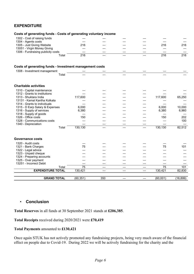## **EXPENDITURE**

| Costs of generating funds - Costs of generating voluntary income |                 |     |  |                 |           |
|------------------------------------------------------------------|-----------------|-----|--|-----------------|-----------|
| 1302 - Cost of raising funds                                     |                 |     |  |                 |           |
| 1304 - Agents costs                                              |                 |     |  |                 |           |
| 1305 - Just Giving Website                                       | 216             |     |  | 216             | 216       |
| 13051 - Virgin Money Giving                                      |                 |     |  |                 |           |
| 1306 - Fundraising publicity costs                               |                 |     |  |                 |           |
| Total                                                            | 216             |     |  | 216             | 216       |
| Costs of generating funds - Investment management costs          |                 |     |  |                 |           |
| 1308 - Investment management                                     |                 |     |  |                 |           |
| Total                                                            |                 |     |  |                 |           |
| <b>Charitable activities</b>                                     |                 |     |  |                 |           |
| 1310 - Capital maintenance                                       |                 |     |  |                 |           |
| 1312 - Grants to institutions                                    |                 |     |  |                 |           |
| 1313 - Shuktara India                                            | 117,600         |     |  | 117,600         | 65,250    |
| 13131 - Kamal Kantha Kolkata                                     |                 |     |  |                 |           |
| 1314 - Grants to individuals                                     |                 |     |  |                 |           |
| 1315 - D Earp Salary & Expenses                                  | 6,000           |     |  | 6,000           | 10,000    |
| 1316 - Supply of services                                        | 6,380           |     |  | 6,380           | 6,960     |
| 1318 - Supply of goods                                           |                 |     |  |                 |           |
| 1326 - Office costs                                              | 150             |     |  | 150             | 202       |
| 1328 - Communications costs                                      |                 |     |  |                 | 100       |
| 1340 - Depreciation                                              |                 |     |  |                 |           |
| Total                                                            | 130,130         |     |  | 130,130         | 82,512    |
| <b>Governance costs</b>                                          |                 |     |  |                 |           |
| 1320 - Audit costs                                               |                 |     |  |                 |           |
| 1321 - Bank Charges                                              | 75              |     |  | 75              | 101       |
| 1322 - Legal advice                                              |                 |     |  |                 |           |
| 1323 - Unpaid cheque                                             |                 |     |  |                 |           |
| 1324 - Preparing accounts                                        |                 |     |  |                 |           |
| 1325 - Over payment                                              |                 |     |  |                 |           |
| 13251 - Incorrect Debit                                          |                 |     |  |                 |           |
| Total                                                            | $\overline{75}$ |     |  | $\overline{75}$ | 101       |
| <b>EXPENDITURE TOTAL</b>                                         | 130,421         |     |  | 130,421         | 82,830    |
| <b>GRAND TOTAL</b>                                               | (60, 351)       | 350 |  | (60,001)        | (16, 899) |
|                                                                  |                 |     |  |                 |           |

## • **Conclusion**

**Total Reserves** in all funds at 30 September 2021 stands at **£206,385**.

**Total Receipts** received during 2020/2021 were **£70,419**

#### **Total Payments** amounted to **£130,421**

Once again STUK has not actively promoted any fundraising projects, being very much aware of the financial effect on people due to Covid-19. During 2022 we will be actively fundraising for the charity and the